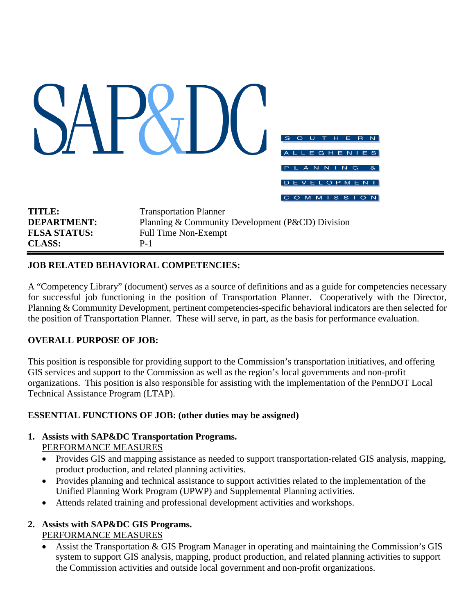|                                                                             |                                                                                                                           | S<br>$\mathbf{R}$<br>$\mathbb{N}$<br>н<br>Е<br>$\Omega$<br>EGHENIES<br>$\overline{A}$<br>ANNING<br>8 <sub>k</sub><br><b>EVELOPMENT</b><br>D<br><b>MMISSION</b><br>$\overline{C}$<br>$\circ$ |
|-----------------------------------------------------------------------------|---------------------------------------------------------------------------------------------------------------------------|---------------------------------------------------------------------------------------------------------------------------------------------------------------------------------------------|
| <b>TITLE:</b><br><b>DEPARTMENT:</b><br><b>FLSA STATUS:</b><br><b>CLASS:</b> | <b>Transportation Planner</b><br>Planning & Community Development (P&CD) Division<br><b>Full Time Non-Exempt</b><br>$P-1$ |                                                                                                                                                                                             |

### **JOB RELATED BEHAVIORAL COMPETENCIES:**

A "Competency Library" (document) serves as a source of definitions and as a guide for competencies necessary for successful job functioning in the position of Transportation Planner. Cooperatively with the Director, Planning & Community Development, pertinent competencies-specific behavioral indicators are then selected for the position of Transportation Planner. These will serve, in part, as the basis for performance evaluation.

### **OVERALL PURPOSE OF JOB:**

This position is responsible for providing support to the Commission's transportation initiatives, and offering GIS services and support to the Commission as well as the region's local governments and non-profit organizations. This position is also responsible for assisting with the implementation of the PennDOT Local Technical Assistance Program (LTAP).

### **ESSENTIAL FUNCTIONS OF JOB: (other duties may be assigned)**

# **1. Assists with SAP&DC Transportation Programs.**

- PERFORMANCE MEASURES
- Provides GIS and mapping assistance as needed to support transportation-related GIS analysis, mapping, product production, and related planning activities.
- Provides planning and technical assistance to support activities related to the implementation of the Unified Planning Work Program (UPWP) and Supplemental Planning activities.
- Attends related training and professional development activities and workshops.

## **2. Assists with SAP&DC GIS Programs.**

PERFORMANCE MEASURES

• Assist the Transportation & GIS Program Manager in operating and maintaining the Commission's GIS system to support GIS analysis, mapping, product production, and related planning activities to support the Commission activities and outside local government and non-profit organizations.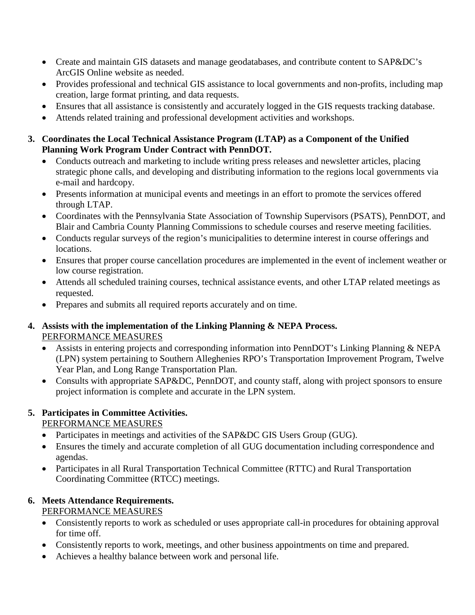- Create and maintain GIS datasets and manage geodatabases, and contribute content to SAP&DC's ArcGIS Online website as needed.
- Provides professional and technical GIS assistance to local governments and non-profits, including map creation, large format printing, and data requests.
- Ensures that all assistance is consistently and accurately logged in the GIS requests tracking database.
- Attends related training and professional development activities and workshops.
- **3. Coordinates the Local Technical Assistance Program (LTAP) as a Component of the Unified Planning Work Program Under Contract with PennDOT.**
	- Conducts outreach and marketing to include writing press releases and newsletter articles, placing strategic phone calls, and developing and distributing information to the regions local governments via e-mail and hardcopy.
	- Presents information at municipal events and meetings in an effort to promote the services offered through LTAP.
	- Coordinates with the Pennsylvania State Association of Township Supervisors (PSATS), PennDOT, and Blair and Cambria County Planning Commissions to schedule courses and reserve meeting facilities.
	- Conducts regular surveys of the region's municipalities to determine interest in course offerings and locations.
	- Ensures that proper course cancellation procedures are implemented in the event of inclement weather or low course registration.
	- Attends all scheduled training courses, technical assistance events, and other LTAP related meetings as requested.
	- Prepares and submits all required reports accurately and on time.

## **4. Assists with the implementation of the Linking Planning & NEPA Process.** PERFORMANCE MEASURES

- Assists in entering projects and corresponding information into PennDOT's Linking Planning & NEPA (LPN) system pertaining to Southern Alleghenies RPO's Transportation Improvement Program, Twelve Year Plan, and Long Range Transportation Plan.
- Consults with appropriate SAP&DC, PennDOT, and county staff, along with project sponsors to ensure project information is complete and accurate in the LPN system.

#### **5. Participates in Committee Activities.** PERFORMANCE MEASURES

- Participates in meetings and activities of the SAP&DC GIS Users Group (GUG).
- Ensures the timely and accurate completion of all GUG documentation including correspondence and agendas.
- Participates in all Rural Transportation Technical Committee (RTTC) and Rural Transportation Coordinating Committee (RTCC) meetings.

# **6. Meets Attendance Requirements.**

PERFORMANCE MEASURES

- Consistently reports to work as scheduled or uses appropriate call-in procedures for obtaining approval for time off.
- Consistently reports to work, meetings, and other business appointments on time and prepared.
- Achieves a healthy balance between work and personal life.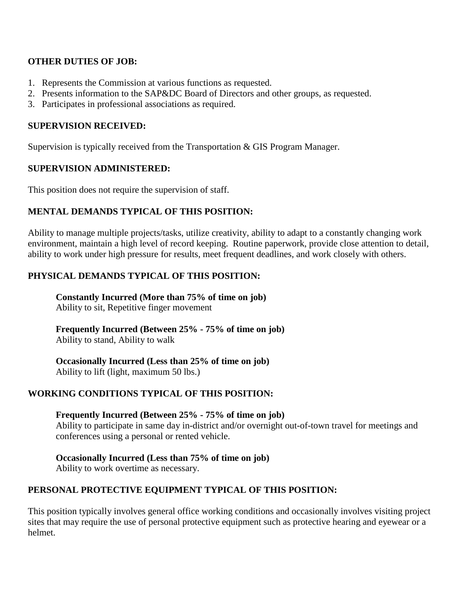### **OTHER DUTIES OF JOB:**

- 1. Represents the Commission at various functions as requested.
- 2. Presents information to the SAP&DC Board of Directors and other groups, as requested.
- 3. Participates in professional associations as required.

# **SUPERVISION RECEIVED:**

Supervision is typically received from the Transportation & GIS Program Manager.

# **SUPERVISION ADMINISTERED:**

This position does not require the supervision of staff.

# **MENTAL DEMANDS TYPICAL OF THIS POSITION:**

Ability to manage multiple projects/tasks, utilize creativity, ability to adapt to a constantly changing work environment, maintain a high level of record keeping. Routine paperwork, provide close attention to detail, ability to work under high pressure for results, meet frequent deadlines, and work closely with others.

# **PHYSICAL DEMANDS TYPICAL OF THIS POSITION:**

**Constantly Incurred (More than 75% of time on job)** Ability to sit, Repetitive finger movement

**Frequently Incurred (Between 25% - 75% of time on job)** Ability to stand, Ability to walk

**Occasionally Incurred (Less than 25% of time on job)** Ability to lift (light, maximum 50 lbs.)

# **WORKING CONDITIONS TYPICAL OF THIS POSITION:**

**Frequently Incurred (Between 25% - 75% of time on job)** Ability to participate in same day in-district and/or overnight out-of-town travel for meetings and conferences using a personal or rented vehicle.

# **Occasionally Incurred (Less than 75% of time on job)**

Ability to work overtime as necessary.

# **PERSONAL PROTECTIVE EQUIPMENT TYPICAL OF THIS POSITION:**

This position typically involves general office working conditions and occasionally involves visiting project sites that may require the use of personal protective equipment such as protective hearing and eyewear or a helmet.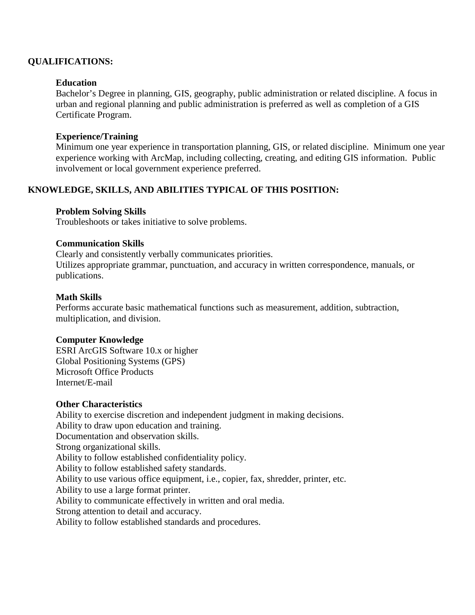### **QUALIFICATIONS:**

#### **Education**

Bachelor's Degree in planning, GIS, geography, public administration or related discipline. A focus in urban and regional planning and public administration is preferred as well as completion of a GIS Certificate Program.

#### **Experience/Training**

Minimum one year experience in transportation planning, GIS, or related discipline. Minimum one year experience working with ArcMap, including collecting, creating, and editing GIS information. Public involvement or local government experience preferred.

### **KNOWLEDGE, SKILLS, AND ABILITIES TYPICAL OF THIS POSITION:**

#### **Problem Solving Skills**

Troubleshoots or takes initiative to solve problems.

#### **Communication Skills**

Clearly and consistently verbally communicates priorities. Utilizes appropriate grammar, punctuation, and accuracy in written correspondence, manuals, or publications.

#### **Math Skills**

Performs accurate basic mathematical functions such as measurement, addition, subtraction, multiplication, and division.

#### **Computer Knowledge**

ESRI ArcGIS Software 10.x or higher Global Positioning Systems (GPS) Microsoft Office Products Internet/E-mail

#### **Other Characteristics**

Ability to exercise discretion and independent judgment in making decisions. Ability to draw upon education and training. Documentation and observation skills. Strong organizational skills. Ability to follow established confidentiality policy. Ability to follow established safety standards. Ability to use various office equipment, i.e., copier, fax, shredder, printer, etc. Ability to use a large format printer. Ability to communicate effectively in written and oral media. Strong attention to detail and accuracy. Ability to follow established standards and procedures.